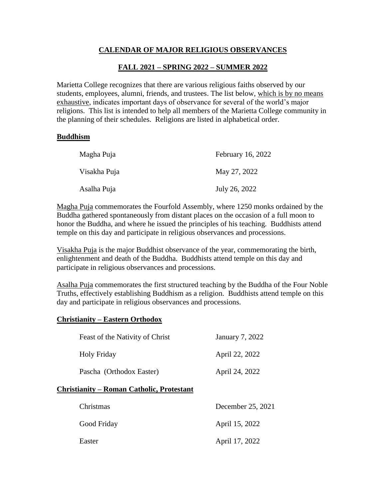## **CALENDAR OF MAJOR RELIGIOUS OBSERVANCES**

# **FALL 2021 – SPRING 2022 – SUMMER 2022**

Marietta College recognizes that there are various religious faiths observed by our students, employees, alumni, friends, and trustees. The list below, which is by no means exhaustive, indicates important days of observance for several of the world's major religions. This list is intended to help all members of the Marietta College community in the planning of their schedules. Religions are listed in alphabetical order.

### **Buddhism**

| Magha Puja   | February 16, 2022 |
|--------------|-------------------|
| Visakha Puja | May 27, 2022      |
| Asalha Puja  | July 26, 2022     |

Magha Puja commemorates the Fourfold Assembly, where 1250 monks ordained by the Buddha gathered spontaneously from distant places on the occasion of a full moon to honor the Buddha, and where he issued the principles of his teaching. Buddhists attend temple on this day and participate in religious observances and processions.

Visakha Puja is the major Buddhist observance of the year, commemorating the birth, enlightenment and death of the Buddha. Buddhists attend temple on this day and participate in religious observances and processions.

Asalha Puja commemorates the first structured teaching by the Buddha of the Four Noble Truths, effectively establishing Buddhism as a religion. Buddhists attend temple on this day and participate in religious observances and processions.

## **Christianity – Eastern Orthodox**

|             | Feast of the Nativity of Christ           | <b>January 7, 2022</b> |
|-------------|-------------------------------------------|------------------------|
| Holy Friday |                                           | April 22, 2022         |
|             | Pascha (Orthodox Easter)                  | April 24, 2022         |
|             | Christianity – Roman Catholic, Protestant |                        |
| Christmas   |                                           | December 25, 2021      |
|             | Good Friday                               | April 15, 2022         |
| Easter      |                                           | April 17, 2022         |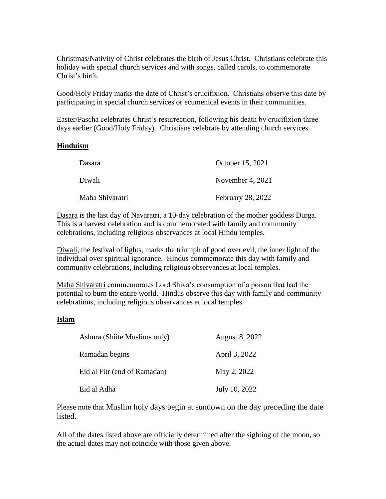Christmas/Nativity of Christ celebrates the birth of Jesus Christ. Christians celebrate this holiday with special church services and with songs, called carols, to commemorate Christ's birth.

Good/Holy Friday marks the date of Christ's crucifixion. Christians observe this date by participating in special church services or ecumenical events in their communities.

Easter/Pascha celebrates Christ's resurrection, following his death by crucifixion three days earlier (Good/Holy Friday). Christians celebrate by attending church services.

#### **Hinduism**

| Dasara          | October 15, 2021         |
|-----------------|--------------------------|
| Diwali          | November 4, $2021$       |
| Maha Shivaratri | <b>February 28, 2022</b> |

Dasara is the last day of Navaratri, a 10-day celebration of the mother goddess Durga. This is a harvest celebration and is commemorated with family and community celebrations, including religious observances at local Hindu temples.

Diwali, the festival of lights, marks the triumph of good over evil, the inner light of the individual over spiritual ignorance. Hindus commemorate this day with family and community celebrations, including religious observances at local temples.

Maha Shivaratri commemorates Lord Shiva's consumption of a poison that had the potential to burn the entire world. Hindus observe this day with family and community celebrations, including religious observances at local temples.

#### **Islam**

| Ashura (Shiite Muslims only) | August 8, 2022 |
|------------------------------|----------------|
| Ramadan begins               | April 3, 2022  |
| Eid al Fitr (end of Ramadan) | May 2, 2022    |
| Eid al Adha                  | July 10, 2022  |

Please note that Muslim holy days begin at sundown on the day preceding the date listed.

All of the dates listed above are officially determined after the sighting of the moon, so the actual dates may not coincide with those given above.